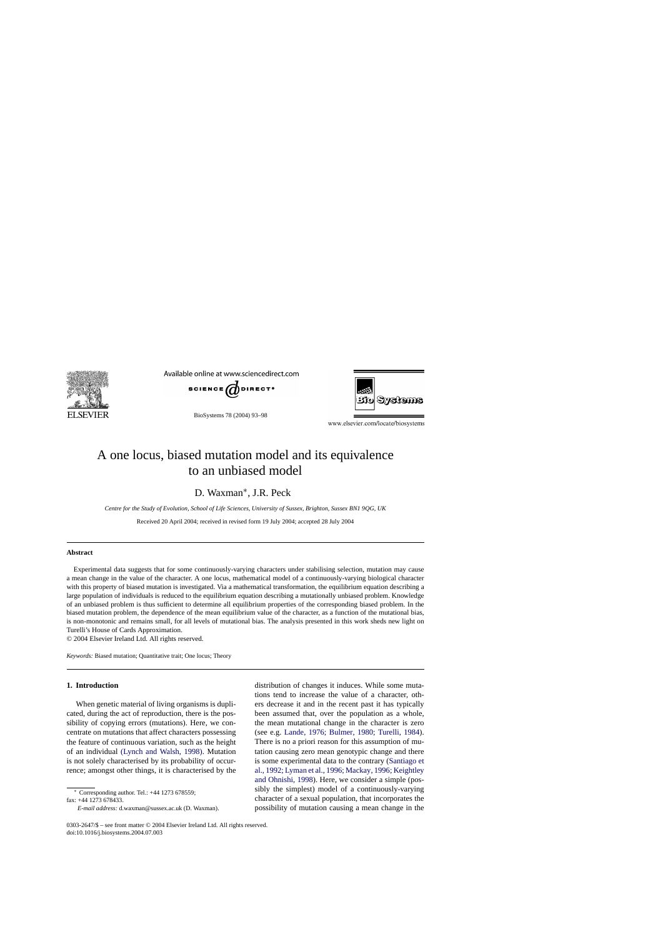

Available online at www.sciencedirect.com



BioSystems 78 (2004) 93–98



www.elsevier.com/locate/biosystems

# A one locus, biased mutation model and its equivalence to an unbiased model

D. Waxman∗, J.R. Peck

*Centre for the Study of Evolution, School of Life Sciences, University of Sussex, Brighton, Sussex BN1 9QG, UK*

Received 20 April 2004; received in revised form 19 July 2004; accepted 28 July 2004

## **Abstract**

Experimental data suggests that for some continuously-varying characters under stabilising selection, mutation may cause a mean change in the value of the character. A one locus, mathematical model of a continuously-varying biological character with this property of biased mutation is investigated. Via a mathematical transformation, the equilibrium equation describing a large population of individuals is reduced to the equilibrium equation describing a mutationally unbiased problem. Knowledge of an unbiased problem is thus sufficient to determine all equilibrium properties of the corresponding biased problem. In the biased mutation problem, the dependence of the mean equilibrium value of the character, as a function of the mutational bias, is non-monotonic and remains small, for all levels of mutational bias. The analysis presented in this work sheds new light on Turelli's House of Cards Approximation.

© 2004 Elsevier Ireland Ltd. All rights reserved.

*Keywords:* Biased mutation; Quantitative trait; One locus; Theory

### **1. Introduction**

When genetic material of living organisms is duplicated, during the act of reproduction, there is the possibility of copying errors (mutations). Here, we concentrate on mutations that affect characters possessing the feature of continuous variation, such as the height of an individual [\(Lynch and Walsh, 1998\).](#page-5-0) Mutation is not solely characterised by its probability of occurrence; amongst other things, it is characterised by the

∗ Corresponding author. Tel.: +44 1273 678559;

fax: +44 1273 678433.

distribution of changes it induces. While some mutations tend to increase the value of a character, others decrease it and in the recent past it has typically been assumed that, over the population as a whole, the mean mutational change in the character is zero (see e.g. [Lande, 1976; Bulmer, 1980; Turelli, 1984\).](#page-5-0) There is no a priori reason for this assumption of mutation causing zero mean genotypic change and there is some experimental data to the contrary [\(Santiago et](#page-5-0) al[., 1992; Lyman et al., 1996; Mackay, 1996; Keightley](#page-5-0) and Ohnish[i, 1998\).](#page-5-0) Here, we consider a simple (possibly the simplest) model of a continuously-varying character of a sexual population, that incorporates the possibility of mutation causing a mean change in the

*E-mail address:* d.waxman@sussex.ac.uk (D. Waxman).

<sup>0303-2647/\$ –</sup> see front matter © 2004 Elsevier Ireland Ltd. All rights reserved. doi:10.1016/j.biosystems.2004.07.003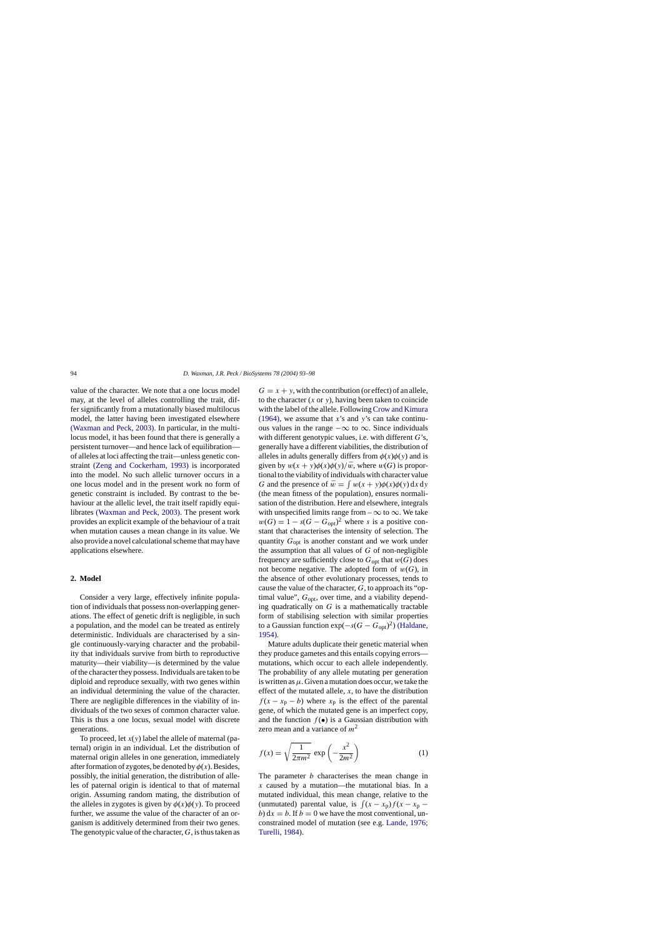<span id="page-1-0"></span>value of the character. We note that a one locus model may, at the level of alleles controlling the trait, differ significantly from a mutationally biased multilocus model, the latter having been investigated elsewhere [\(Waxman and Peck, 2003\). I](#page-5-0)n particular, in the multilocus model, it has been found that there is generally a persistent turnover—and hence lack of equilibration of alleles at loci affecting the trait—unless genetic constraint [\(Zeng and Cockerham, 1993\)](#page-5-0) is incorporated into the model. No such allelic turnover occurs in a one locus model and in the present work no form of genetic constraint is included. By contrast to the behaviour at the allelic level, the trait itself rapidly equilibrates [\(Waxman and Peck, 2003\).](#page-5-0) The present work provides an explicit example of the behaviour of a trait when mutation causes a mean change in its value. We also provide a novel calculational scheme that may have applications elsewhere.

# **2. Model**

Consider a very large, effectively infinite population of individuals that possess non-overlapping generations. The effect of genetic drift is negligible, in such a population, and the model can be treated as entirely deterministic. Individuals are characterised by a single continuously-varying character and the probability that individuals survive from birth to reproductive maturity—their viability—is determined by the value of the character they possess. Individuals are taken to be diploid and reproduce sexually, with two genes within an individual determining the value of the character. There are negligible differences in the viability of individuals of the two sexes of common character value. This is thus a one locus, sexual model with discrete generations.

To proceed, let  $x(y)$  label the allele of maternal (paternal) origin in an individual. Let the distribution of maternal origin alleles in one generation, immediately after formation of zygotes, be denoted by  $\phi(x)$ . Besides, possibly, the initial generation, the distribution of alleles of paternal origin is identical to that of maternal origin. Assuming random mating, the distribution of the alleles in zygotes is given by  $\phi(x)\phi(y)$ . To proceed further, we assume the value of the character of an organism is additively determined from their two genes. The genotypic value of the character, G, is thus taken as  $G = x + y$ , with the contribution (or effect) of an allele, to the character  $(x \text{ or } y)$ , having been taken to coincide with the label of the allele. Following [Crow and Kimura](#page-5-0) [\(1964\),](#page-5-0) we assume that x's and y's can take continuous values in the range  $-\infty$  to  $\infty$ . Since individuals with different genotypic values, i.e. with different  $G$ 's, generally have a different viabilities, the distribution of alleles in adults generally differs from  $\phi(x)\phi(y)$  and is given by  $w(x + y)\phi(x)\phi(y)/\bar{w}$ , where  $w(G)$  is proportional to the viability of individuals with character value G and the presence of  $\bar{w} = \int w(x + y) \phi(x) \phi(y) dx dy$ (the mean fitness of the population), ensures normalisation of the distribution. Here and elsewhere, integrals with unspecified limits range from –  $\infty$  to  $\infty$ . We take  $w(G) = 1 - s(G - G_{opt})^2$  where s is a positive constant that characterises the intensity of selection. The quantity  $G_{\text{opt}}$  is another constant and we work under the assumption that all values of  $G$  of non-negligible frequency are sufficiently close to  $G_{\text{opt}}$  that  $w(G)$  does not become negative. The adopted form of  $w(G)$ , in the absence of other evolutionary processes, tends to cause the value of the character,  $G$ , to approach its "optimal value",  $G_{\text{ont}}$ , over time, and a viability depending quadratically on  $G$  is a mathematically tractable form of stabilising selection with similar properties to a Gaussian function  $\exp(-s(G - G_{opt})^2)$  [\(Haldane,](#page-5-0) [1954\).](#page-5-0)

Mature adults duplicate their genetic material when they produce gametes and this entails copying errors mutations, which occur to each allele independently. The probability of any allele mutating per generation is written as  $\mu$ . Given a mutation does occur, we take the effect of the mutated allele,  $x$ , to have the distribution  $f(x - x_p - b)$  where  $x_p$  is the effect of the parental gene, of which the mutated gene is an imperfect copy, and the function  $f(\bullet)$  is a Gaussian distribution with zero mean and a variance of  $m<sup>2</sup>$ 

$$
f(x) = \sqrt{\frac{1}{2\pi m^2}} \exp\left(-\frac{x^2}{2m^2}\right)
$$
 (1)

The parameter *b* characterises the mean change in  $x$  caused by a mutation—the mutational bias. In a mutated individual, this mean change, relative to the (unmutated) parental value, is  $\int (x - x_p) f(x - x_p$ b)  $dx = b$ . If  $b = 0$  we have the most conventional, unconstrained model of mutation (see e.g. [Lande, 1976;](#page-5-0) [Turelli, 1984\).](#page-5-0)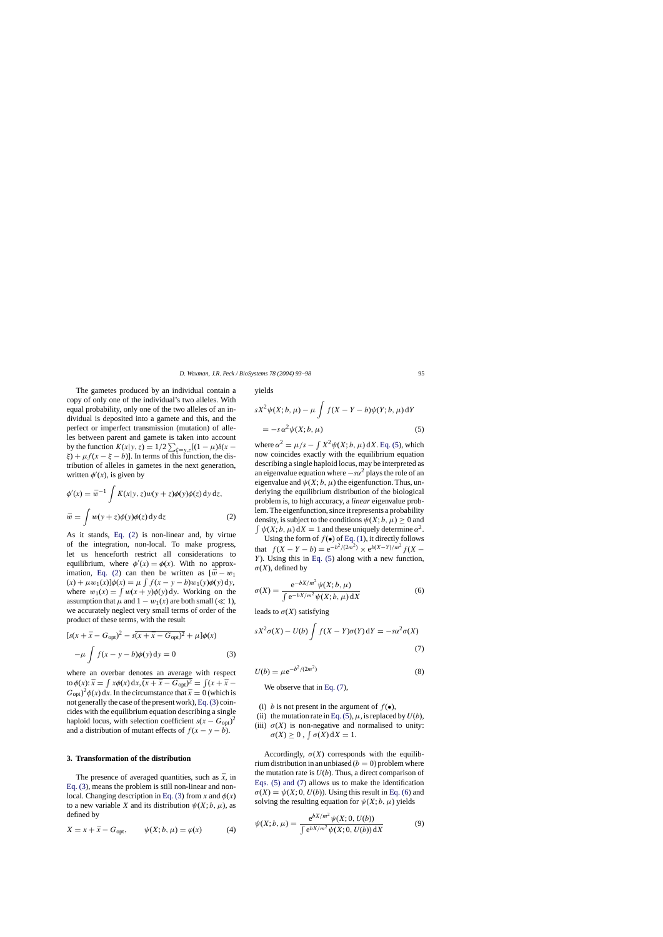<span id="page-2-0"></span>The gametes produced by an individual contain a copy of only one of the individual's two alleles. With equal probability, only one of the two alleles of an individual is deposited into a gamete and this, and the perfect or imperfect transmission (mutation) of alleles between parent and gamete is taken into account by the function  $K(x|y, z) = 1/2 \sum_{\xi = y, z} [(1 - \mu)\delta(x - \xi)]$  $\xi$ ) +  $\mu f(x - \xi - b)$ ]. In terms of this function, the distribution of alleles in gametes in the next generation, written  $\phi'(x)$ , is given by

$$
\phi'(x) = \bar{w}^{-1} \int K(x|y, z)w(y + z)\phi(y)\phi(z) dy dz,
$$
  

$$
\bar{w} = \int w(y + z)\phi(y)\phi(z) dy dz
$$
 (2)

As it stands, Eq. (2) is non-linear and, by virtue of the integration, non-local. To make progress, let us henceforth restrict all considerations to equilibrium, where  $\phi'(x) = \phi(x)$ . With no approximation, Eq. (2) can then be written as  $[\bar{w} - w_1$  $(x) + \mu w_1(x) \phi(x) = \mu \int f(x - y - b) w_1(y) \phi(y) dy$ where  $w_1(x) = \int w(x + y)\phi(y) dy$ . Working on the assumption that  $\mu$  and  $1 - w_1(x)$  are both small ( $\ll 1$ ), we accurately neglect very small terms of order of the product of these terms, with the result

$$
[s(x + \bar{x} - G_{\text{opt}})^2 - s(x + \bar{x} - G_{\text{opt}})^2 + \mu]\phi(x)
$$

$$
-\mu \int f(x - y - b)\phi(y) dy = 0
$$
(3)

where an overbar denotes an average with respect to  $\phi(x)$ :  $\bar{x} = \int x \phi(x) dx$ ,  $(x + \bar{x} - G_{opt})^2 = \int (x + \bar{x} - G_{opt})^2$  $G_{\text{opt}}^2 \phi(x) dx$ . In the circumstance that  $\bar{x} = 0$  (which is not generally the case of the present work), Eq. (3) coincides with the equilibrium equation describing a single haploid locus, with selection coefficient  $s(x - G_{opt})^2$ and a distribution of mutant effects of  $f(x - y - b)$ .

## **3. Transformation of the distribution**

The presence of averaged quantities, such as  $\bar{x}$ , in Eq. (3), means the problem is still non-linear and nonlocal. Changing description in Eq. (3) from x and  $\phi(x)$ to a new variable X and its distribution  $\psi(X; b, \mu)$ , as defined by

$$
X = x + \bar{x} - G_{\text{opt}}, \qquad \psi(X; b, \mu) = \varphi(x) \tag{4}
$$

yields

$$
sX^{2}\psi(X;b,\mu) - \mu \int f(X-Y-b)\psi(Y;b,\mu) dY
$$
  
=  $-s\alpha^{2}\psi(X;b,\mu)$  (5)

where  $\alpha^2 = \mu/s - \int X^2 \psi(X; b, \mu) dX$ . Eq. (5), which now coincides exactly with the equilibrium equation describing a single haploid locus, may be interpreted as an eigenvalue equation where  $-s\alpha^2$  plays the role of an eigenvalue and  $\psi(X; b, \mu)$  the eigenfunction. Thus, underlying the equilibrium distribution of the biological problem is, to high accuracy, a *linear* eigenvalue problem. The eigenfunction, since it represents a probability density, is subject to the conditions  $\psi(X; b, \mu) > 0$  and  $\int \psi(X; b, \mu) dX = 1$  and these uniquely determine  $\alpha^2$ .

Using the form of  $f(\bullet)$  of [Eq. \(1\),](#page-1-0) it directly follows that  $f(X - Y - b) = e^{-b^2/(2m^2)} \times e^{b(X - Y)/m^2} f(X Y$ ). Using this in Eq. (5) along with a new function,  $\sigma(X)$ , defined by

$$
\sigma(X) = \frac{e^{-bX/m^2} \psi(X; b, \mu)}{\int e^{-bX/m^2} \psi(X; b, \mu) dX}
$$
(6)

leads to  $\sigma(X)$  satisfying

$$
sX^{2}\sigma(X) - U(b) \int f(X - Y)\sigma(Y) dY = -s\alpha^{2}\sigma(X)
$$
\n(7)

$$
U(b) = \mu e^{-b^2/(2m^2)}
$$
 (8)

We observe that in Eq.  $(7)$ ,

- (i) b is not present in the argument of  $f(\bullet)$ ,
- (ii) the mutation rate in Eq. (5),  $\mu$ , is replaced by  $U(b)$ ,
- (iii)  $\sigma(X)$  is non-negative and normalised to unity:  $\sigma(X) \geq 0$ ,  $\sigma(X) dX = 1$ .

Accordingly,  $\sigma(X)$  corresponds with the equilibrium distribution in an unbiased  $(b = 0)$  problem where the mutation rate is  $U(b)$ . Thus, a direct comparison of Eqs. (5) and (7) allows us to make the identification  $\sigma(X) = \psi(X; 0, U(b))$ . Using this result in Eq. (6) and solving the resulting equation for  $\psi(X; b, \mu)$  yields

$$
\psi(X; b, \mu) = \frac{e^{bX/m^2} \psi(X; 0, U(b))}{\int e^{bX/m^2} \psi(X; 0, U(b)) dX}
$$
(9)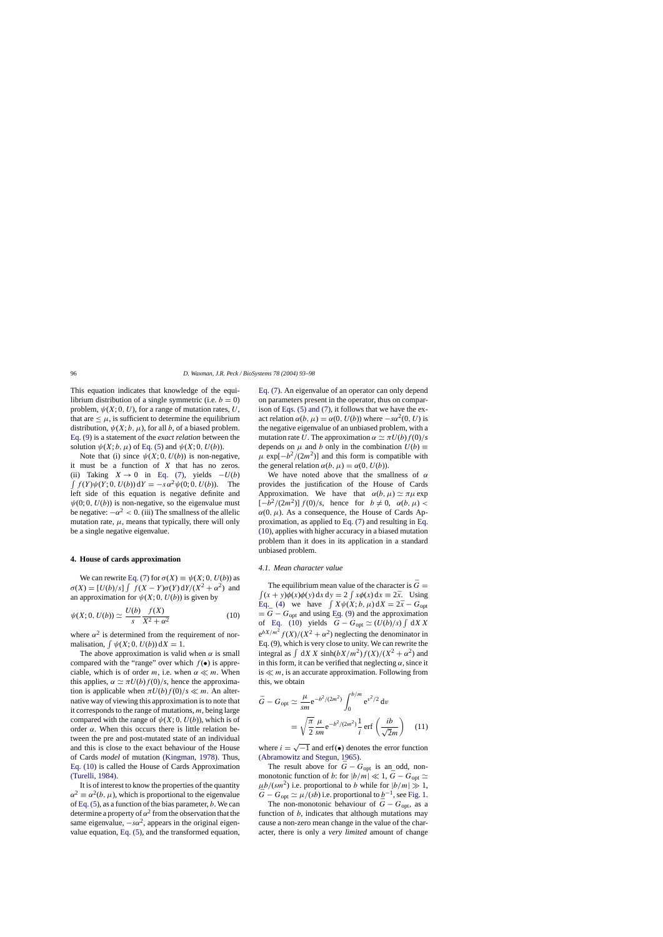<span id="page-3-0"></span>This equation indicates that knowledge of the equilibrium distribution of a single symmetric (i.e.  $b = 0$ ) problem,  $\psi(X; 0, U)$ , for a range of mutation rates, U, that are  $\lt \mu$ , is sufficient to determine the equilibrium distribution,  $\psi(X; b, \mu)$ , for all b, of a biased problem. [Eq. \(9\)](#page-2-0) is a statement of the *exact relation* between the solution  $\psi(X; b, \mu)$  of [Eq. \(5\)](#page-2-0) and  $\psi(X; 0, U(b))$ .

Note that (i) since  $\psi(X; 0, U(b))$  is non-negative, it must be a function of  $X$  that has no zeros. (ii) Taking  $X \to 0$  in [Eq. \(7\)](#page-2-0), yields  $-U(b)$ <br> $\int f(Y)\psi(Y;0, U(b)) dY = -s\alpha^2 \psi(0;0, U(b))$ . The  $\int f(Y)\psi(Y; 0, U(b)) dY = -s \alpha^2 \psi(0; 0, U(b)).$ left side of this equation is negative definite and  $\psi(0; 0, U(b))$  is non-negative, so the eigenvalue must be negative:  $-\alpha^2 < 0$ . (iii) The smallness of the allelic mutation rate,  $\mu$ , means that typically, there will only be a single negative eigenvalue.

# **4. House of cards approximation**

We can rewrite [Eq. \(7\) f](#page-2-0)or  $\sigma(X) \equiv \psi(X; 0, U(b))$  as  $\sigma(X) = [U(b)/s] \int f(X - Y)\sigma(Y) dY/(X^2 + \alpha^2)$  and an approximation for  $\psi(X; 0, U(b))$  is given by

$$
\psi(X;0,U(b)) \simeq \frac{U(b)}{s} \frac{f(X)}{X^2 + \alpha^2} \tag{10}
$$

where  $\alpha^2$  is determined from the requirement of normalisation,  $\int \psi(X; 0, U(b)) dX = 1$ .

The above approximation is valid when  $\alpha$  is small compared with the "range" over which  $f(\bullet)$  is appreciable, which is of order m, i.e. when  $\alpha \ll m$ . When this applies,  $\alpha \simeq \pi U(b) f(0)/s$ , hence the approximation is applicable when  $\pi U(b) f(0)/s \ll m$ . An alternative way of viewing this approximation is to note that it corresponds to the range of mutations,  $m$ , being large compared with the range of  $\psi(X; 0, U(b))$ , which is of order α. When this occurs there is little relation between the pre and post-mutated state of an individual and this is close to the exact behaviour of the House of Cards *model* of mutation [\(Kingman, 1978\).](#page-5-0) Thus, Eq. (10) is called the House of Cards Approximation [\(Turelli, 1984\).](#page-5-0)

It is of interest to know the properties of the quantity  $\alpha^2 \equiv \alpha^2(b, \mu)$ , which is proportional to the eigenvalue of Eq.  $(5)$ , as a function of the bias parameter, b. We can determine a property of  $\alpha^2$  from the observation that the same eigenvalue,  $-s\alpha^2$ , appears in the original eigenvalue equation, [Eq. \(5\),](#page-2-0) and the transformed equation, [Eq. \(7\).](#page-2-0) An eigenvalue of an operator can only depend on parameters present in the operator, thus on comparison of [Eqs. \(5\) and \(7\),](#page-2-0) it follows that we have the exact relation  $\alpha(b, \mu) = \alpha(0, U(b))$  where  $-s\alpha^2(0, U)$  is the negative eigenvalue of an unbiased problem, with a mutation rate U. The approximation  $\alpha \simeq \pi U(b) f(0)/s$ depends on  $\mu$  and b only in the combination  $U(b) \equiv$  $\mu$  exp[ $-b^2/(2m^2)$ ] and this form is compatible with the general relation  $\alpha(b, \mu) = \alpha(0, U(b))$ .

We have noted above that the smallness of  $\alpha$ provides the justification of the House of Cards Approximation. We have that  $\alpha(b, \mu) \simeq \pi \mu$  exp  $[-b^2/(2m^2)] f(0)/s$ , hence for  $b \neq 0$ ,  $\alpha(b,\mu)$  $\alpha(0, \mu)$ . As a consequence, the House of Cards Approximation, as applied to [Eq. \(7\)](#page-2-0) and resulting in Eq. (10), applies with higher accuracy in a biased mutation problem than it does in its application in a standard unbiased problem.

#### *4.1. Mean character value*

The equilibrium mean value of the character is  $\bar{G} = \int (x + y)\phi(x)\phi(y) dx dy = 2\int x\phi(x) dx \equiv 2\bar{x}$ . Using [Eq. \(4](#page-2-0)) we have  $\int X\psi(X; b, \mu) dX = 2\bar{x} - G_{\text{opt}}$  $=\bar{G} - G_{opt}$  and using [Eq. \(9\)](#page-2-0) and the approximation of Eq. (10) yields  $\bar{G} - G_{\text{opt}} \simeq (U(b)/s) \int dX X$  $e^{bX/m^2} f(X)/(X^2 + \alpha^2)$  neglecting the denominator in Eq. (9), which is very close to unity. We can rewrite the integral as  $\int dX X \sinh(bX/m^2) f(X)/(X^2 + \alpha^2)$  and in this form, it can be verified that neglecting  $\alpha$ , since it is  $\ll m$ , is an accurate approximation. Following from this, we obtain

$$
\bar{G} - G_{\text{opt}} \simeq \frac{\mu}{sm} e^{-b^2/(2m^2)} \int_0^{b/m} e^{v^2/2} dv
$$

$$
= \sqrt{\frac{\pi}{2}} \frac{\mu}{sm} e^{-b^2/(2m^2)} \frac{1}{i} \operatorname{erf} \left( \frac{ib}{\sqrt{2m}} \right) \quad (11)
$$

where  $i = \sqrt{-1}$  and erf(•) denotes the error function [\(Abramowitz and Stegun, 1965\).](#page-5-0)

The result above for  $\bar{G} - G_{opt}$  is an odd, nonmonotonic function of b: for  $|b/m| \ll 1$ ,  $\bar{G} - G_{opt} \simeq$  $\mu b/(sm^2)$  i.e. proportional to b while for  $|b/m| \gg 1$ ,  $\bar{G} - G_{\text{opt}} \simeq \mu/(sb)$  i.e. proportional to  $b^{-1}$ , see [Fig. 1.](#page-4-0)

The non-monotonic behaviour of  $\bar{G} - G_{\text{opt}}$ , as a function of b, indicates that although mutations may cause a non-zero mean change in the value of the character, there is only a *very limited* amount of change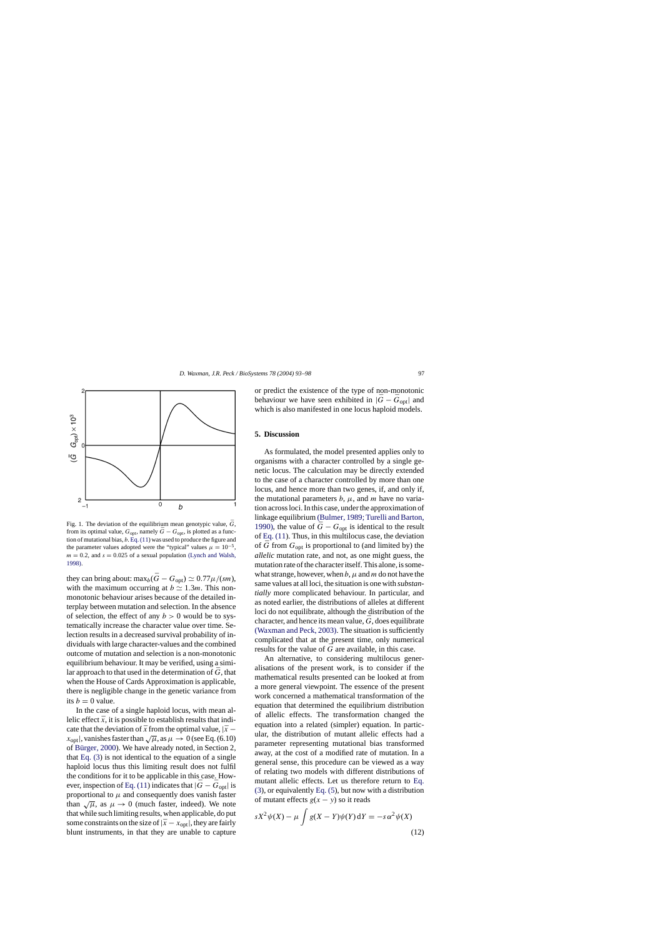<span id="page-4-0"></span>

Fig. 1. The deviation of the equilibrium mean genotypic value,  $\bar{G}$ , from its optimal value,  $G_{opt}$ , namely  $\bar{G} - G_{opt}$ , is plotted as a function of mutational bias, b. [Eq. \(11\) w](#page-3-0)as used to produce the figure and the parameter values adopted were the "typical" values  $\mu = 10^{-5}$ ,  $m = 0.2$ , and  $s = 0.025$  of a sexual population [\(Lynch and Walsh,](#page-5-0) [1998\).](#page-5-0)

they can bring about: max $_b(\bar{G} - G_{opt}) \simeq 0.77 \mu/(sm)$ , with the maximum occurring at  $b \simeq 1.3m$ . This nonmonotonic behaviour arises because of the detailed interplay between mutation and selection. In the absence of selection, the effect of any  $b > 0$  would be to systematically increase the character value over time. Selection results in a decreased survival probability of individuals with large character-values and the combined outcome of mutation and selection is a non-monotonic equilibrium behaviour. It may be verified, using a similar approach to that used in the determination of  $\bar{G}$ , that when the House of Cards Approximation is applicable, there is negligible change in the genetic variance from its  $b = 0$  value.

In the case of a single haploid locus, with mean allelic effect  $\bar{x}$ , it is possible to establish results that indicate that the deviation of  $\bar{x}$  from the optimal value,  $|\bar{x}$  $x_{opt}$ , vanishes faster than  $\sqrt{\mu}$ , as  $\mu \to 0$  (see Eq. (6.10) of Bürger, 2000). We have already noted, in Section 2, that [Eq. \(3\)](#page-2-0) is not identical to the equation of a single haploid locus thus this limiting result does not fulfil the conditions for it to be applicable in this case. How-ever, inspection of [Eq. \(11\) i](#page-3-0)ndicates that  $|\bar{G} - \bar{G}_{\text{opt}}|$  is proportional to  $\mu$  and consequently does vanish faster than  $\sqrt{\mu}$ , as  $\mu \rightarrow 0$  (much faster, indeed). We note that while such limiting results, when applicable, do put some constraints on the size of  $|\bar{x} - x_{\text{opt}}|$ , they are fairly blunt instruments, in that they are unable to capture

or predict the existence of the type of non-monotonic behaviour we have seen exhibited in  $|\bar{G} - \bar{G}_{opt}|$  and which is also manifested in one locus haploid models.

#### **5. Discussion**

As formulated, the model presented applies only to organisms with a character controlled by a single genetic locus. The calculation may be directly extended to the case of a character controlled by more than one locus, and hence more than two genes, if, and only if, the mutational parameters  $b, \mu$ , and m have no variation across loci. In this case, under the approximation of linkage equilibrium [\(Bulmer, 1989; Turelli and Barton,](#page-5-0) [1990\),](#page-5-0) the value of  $\bar{G} - G_{\text{opt}}$  is identical to the result of [Eq. \(11\).](#page-3-0) Thus, in this multilocus case, the deviation of  $\bar{G}$  from  $G_{\text{opt}}$  is proportional to (and limited by) the *allelic* mutation rate, and not, as one might guess, the mutation rate of the character itself. This alone, is somewhat strange, however, when  $b, \mu$  and m do not have the same values at all loci, the situation is one with *substantially* more complicated behaviour. In particular, and as noted earlier, the distributions of alleles at different loci do not equilibrate, although the distribution of the character, and hence its mean value,  $\bar{G}$ , does equilibrate [\(Waxman and Peck, 2003\). T](#page-5-0)he situation is sufficiently complicated that at the present time, only numerical results for the value of  $\bar{G}$  are available, in this case.

An alternative, to considering multilocus generalisations of the present work, is to consider if the mathematical results presented can be looked at from a more general viewpoint. The essence of the present work concerned a mathematical transformation of the equation that determined the equilibrium distribution of allelic effects. The transformation changed the equation into a related (simpler) equation. In particular, the distribution of mutant allelic effects had a parameter representing mutational bias transformed away, at the cost of a modified rate of mutation. In a general sense, this procedure can be viewed as a way of relating two models with different distributions of mutant allelic effects. Let us therefore return to [Eq.](#page-2-0) (3), or equivalently [Eq. \(5\),](#page-2-0) but now with a distribution of mutant effects  $g(x - y)$  so it reads

$$
sX^{2}\psi(X) - \mu \int g(X - Y)\psi(Y) dY = -s\alpha^{2}\psi(X)
$$
\n(12)